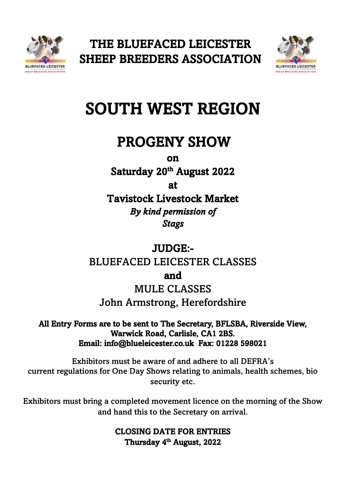



# SOUTH WEST REGION

# PROGENY SHOW

on

Saturday 20<sup>th</sup> August 2022

at

Tavistock Livestock Market *By kind permission of Stags* 

## JUDGE:- BLUEFACED LEICESTER CLASSES

and

MULE CLASSES

John Armstrong, Herefordshire

All Entry Forms are to be sent to The Secretary, BFLSBA, Riverside View, Warwick Road, Carlisle, CA1 2BS. Email: [info@blueleicester.co.uk](mailto:info@blueleicester.co.uk) Fax: 01228 598021

Exhibitors must be aware of and adhere to all DEFRA's current regulations for One Day Shows relating to animals, health schemes, bio security etc.

Exhibitors must bring a completed movement licence on the morning of the Show and hand this to the Secretary on arrival.

> CLOSING DATE FOR ENTRIES Thursday 4<sup>th</sup> August, 2022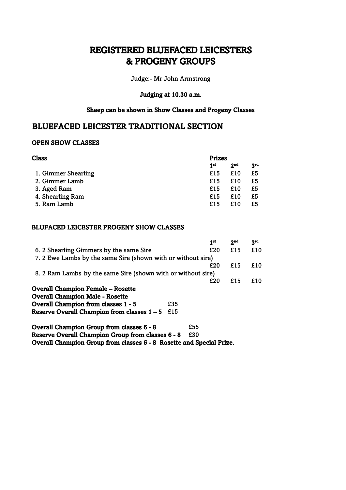### REGISTERED BLUEFACED LEICESTERS & PROGENY GROUPS

Judge:- Mr John Armstrong

### Judging at 10.30 a.m.

#### Sheep can be shown in Show Classes and Progeny Classes

### BLUEFACED LEICESTER TRADITIONAL SECTION

#### OPEN SHOW CLASSES

| Class               | <b>Prizes</b>          |                 |  |
|---------------------|------------------------|-----------------|--|
|                     | 2 <sub>nd</sub><br>1st | 3 <sup>rd</sup> |  |
| 1. Gimmer Shearling | £15<br>£10             | £5              |  |
| 2. Gimmer Lamb      | £10<br>£15             | £5              |  |
| 3. Aged Ram         | £10<br>£15             | £5              |  |
| 4. Shearling Ram    | £10<br>£15             | £5              |  |
| 5. Ram Lamb         | £15<br>£10             | £5              |  |
|                     |                        |                 |  |

### BLUFACED LEICESTER PROGENY SHOW CLASSES

|                                                              |     |     | 1 <sup>st</sup> | 2 <sub>nd</sub> | 3 <sub>rd</sub> |
|--------------------------------------------------------------|-----|-----|-----------------|-----------------|-----------------|
| 6. 2 Shearling Gimmers by the same Sire                      |     |     | £20             | £15             | £10             |
| 7. 2 Ewe Lambs by the same Sire (shown with or without sire) |     |     |                 |                 |                 |
|                                                              |     |     | £20             | £15             | £10             |
| 8. 2 Ram Lambs by the same Sire (shown with or without sire) |     |     |                 |                 |                 |
|                                                              |     |     | £20             | £15             | £10             |
| <b>Overall Champion Female – Rosette</b>                     |     |     |                 |                 |                 |
| <b>Overall Champion Male - Rosette</b>                       |     |     |                 |                 |                 |
| <b>Overall Champion from classes 1 - 5</b>                   | £35 |     |                 |                 |                 |
| Reserve Overall Champion from classes $1 - 5$                | £15 |     |                 |                 |                 |
| <b>Overall Champion Group from classes 6 - 8</b>             |     | £55 |                 |                 |                 |
| Reserve Overall Champion Group from classes 6 - 8            |     | £30 |                 |                 |                 |

Overall Champion Group from classes 6 - 8 Rosette and Special Prize.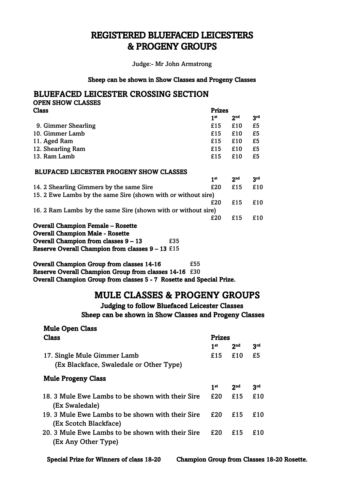### REGISTERED BLUEFACED LEICESTERS & PROGENY GROUPS

Judge:- Mr John Armstrong

#### Sheep can be shown in Show Classes and Progeny Classes

|              | <b>BLUEFACED LEICESTER CROSSING SECTION</b> |               |
|--------------|---------------------------------------------|---------------|
|              | <b>OPEN SHOW CLASSES</b>                    |               |
| <b>Class</b> |                                             | <b>Prizes</b> |

|                                                               | 1 <sup>st</sup> | 2 <sup>nd</sup> | 3 <sup>rd</sup> |
|---------------------------------------------------------------|-----------------|-----------------|-----------------|
| 9. Gimmer Shearling                                           | £15             | £10             | £5              |
| 10. Gimmer Lamb                                               | £15             | £10             | £5              |
| 11. Aged Ram                                                  | £15             | £10             | £5              |
| 12. Shearling Ram                                             | £15             | £10             | £5              |
| 13. Ram Lamb                                                  | £15             | £10             | £5              |
| <b>BLUFACED LEICESTER PROGENY SHOW CLASSES</b>                |                 |                 |                 |
|                                                               | 1 <sup>st</sup> | 2 <sup>nd</sup> | 3 <sup>rd</sup> |
| 14. 2 Shearling Gimmers by the same Sire                      | £20             | £15             | £10             |
| 15. 2 Ewe Lambs by the same Sire (shown with or without sire) |                 |                 |                 |
|                                                               | £20             | £15             | £10             |
| 16. 2 Ram Lambs by the same Sire (shown with or without sire) |                 |                 |                 |
|                                                               | £20             | £15             | £10             |
| <b>Overall Champion Female - Rosette</b>                      |                 |                 |                 |
| <b>Overall Champion Male - Rosette</b>                        |                 |                 |                 |
| Overall Champion from classes 9 - 13<br>£35                   |                 |                 |                 |
| Reserve Overall Champion from classes $9 - 13$ £15            |                 |                 |                 |

Overall Champion Group from classes 14-16  $£55$ Reserve Overall Champion Group from classes 14-16 £30 Overall Champion Group from classes 5 - 7 Rosette and Special Prize.

### MULE CLASSES & PROGENY GROUPS

Judging to follow Bluefaced Leicester Classes Sheep can be shown in Show Classes and Progeny Classes

| <b>Mule Open Class</b>                           |                 |                 |     |
|--------------------------------------------------|-----------------|-----------------|-----|
| <b>Class</b>                                     | <b>Prizes</b>   |                 |     |
|                                                  | 1 <sup>st</sup> | 2 <sub>nd</sub> | 3rd |
| 17. Single Mule Gimmer Lamb                      | £15             | £10             | £5  |
| (Ex Blackface, Swaledale or Other Type)          |                 |                 |     |
| <b>Mule Progeny Class</b>                        |                 |                 |     |
|                                                  | 1 <sup>st</sup> | 2 <sub>nd</sub> | 3rd |
| 18. 3 Mule Ewe Lambs to be shown with their Sire | £20             | £15             | £10 |
| (Ex Swaledale)                                   |                 |                 |     |
| 19. 3 Mule Ewe Lambs to be shown with their Sire | £20             | £15             | £10 |
| (Ex Scotch Blackface)                            |                 |                 |     |
| 20. 3 Mule Ewe Lambs to be shown with their Sire | £20             | £15             | £10 |
| (Ex Any Other Type)                              |                 |                 |     |
|                                                  |                 |                 |     |

Special Prize for Winners of class 18-20 Champion Group from Classes 18-20 Rosette.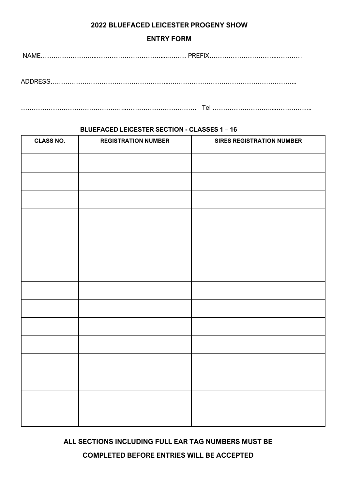### **2022 BLUEFACED LEICESTER PROGENY SHOW**

### **ENTRY FORM**

NAME……………………...…………………………....……… PREFIX…………………………..…………

ADDRESS………………………………………………...…………………………………………………...

…………………………………………..…………………………… Tel ………………………....……………..

### **BLUEFACED LEICESTER SECTION - CLASSES 1 – 16**

| <b>CLASS NO.</b> | <b>REGISTRATION NUMBER</b> | <b>SIRES REGISTRATION NUMBER</b> |
|------------------|----------------------------|----------------------------------|
|                  |                            |                                  |
|                  |                            |                                  |
|                  |                            |                                  |
|                  |                            |                                  |
|                  |                            |                                  |
|                  |                            |                                  |
|                  |                            |                                  |
|                  |                            |                                  |
|                  |                            |                                  |
|                  |                            |                                  |
|                  |                            |                                  |
|                  |                            |                                  |
|                  |                            |                                  |
|                  |                            |                                  |
|                  |                            |                                  |
|                  |                            |                                  |

**ALL SECTIONS INCLUDING FULL EAR TAG NUMBERS MUST BE** 

**COMPLETED BEFORE ENTRIES WILL BE ACCEPTED**